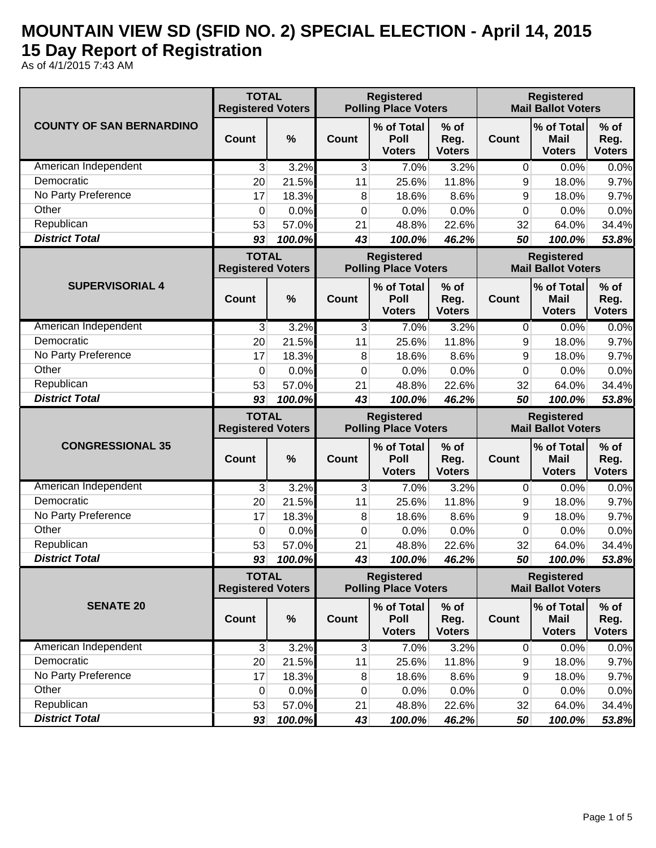## **MOUNTAIN VIEW SD (SFID NO. 2) SPECIAL ELECTION - April 14, 2015 15 Day Report of Registration**

As of 4/1/2015 7:43 AM

|                                     | <b>TOTAL</b><br><b>Registered Voters</b> |                 | <b>Registered</b><br><b>Polling Place Voters</b> |                                                  |                                 | <b>Registered</b><br><b>Mail Ballot Voters</b> |                                                |                                                |
|-------------------------------------|------------------------------------------|-----------------|--------------------------------------------------|--------------------------------------------------|---------------------------------|------------------------------------------------|------------------------------------------------|------------------------------------------------|
| <b>COUNTY OF SAN BERNARDINO</b>     | <b>Count</b>                             | %               | Count                                            | % of Total<br>Poll<br><b>Voters</b>              | $%$ of<br>Reg.<br><b>Voters</b> | <b>Count</b>                                   | % of Total<br><b>Mail</b><br><b>Voters</b>     | $%$ of<br>Reg.<br><b>Voters</b>                |
| American Independent                | 3                                        | 3.2%            | 3                                                | 7.0%                                             | 3.2%                            | 0                                              | 0.0%                                           | 0.0%                                           |
| Democratic                          | 20                                       | 21.5%           | 11                                               | 25.6%                                            | 11.8%                           | 9                                              | 18.0%                                          | 9.7%                                           |
| No Party Preference                 | 17                                       | 18.3%           | 8                                                | 18.6%                                            | 8.6%                            | 9                                              | 18.0%                                          | 9.7%                                           |
| Other                               | 0                                        | 0.0%            | 0                                                | 0.0%                                             | 0.0%                            | 0                                              | 0.0%                                           | 0.0%                                           |
| Republican                          | 53                                       | 57.0%           | 21                                               | 48.8%                                            | 22.6%                           | 32                                             | 64.0%                                          | 34.4%                                          |
| <b>District Total</b>               | 93                                       | 100.0%          | 43                                               | 100.0%                                           | 46.2%                           | 50                                             | 100.0%                                         | 53.8%                                          |
|                                     | <b>TOTAL</b><br><b>Registered Voters</b> |                 | <b>Registered</b><br><b>Polling Place Voters</b> |                                                  |                                 |                                                | <b>Registered</b><br><b>Mail Ballot Voters</b> |                                                |
| <b>SUPERVISORIAL 4</b>              | Count                                    | %               | Count                                            | % of Total<br>Poll<br><b>Voters</b>              | $%$ of<br>Reg.<br><b>Voters</b> | <b>Count</b>                                   | % of Total<br><b>Mail</b><br><b>Voters</b>     | $%$ of<br>Reg.<br><b>Voters</b>                |
| American Independent                | 3                                        | 3.2%            | 3                                                | 7.0%                                             | 3.2%                            | 0                                              | 0.0%                                           | 0.0%                                           |
| Democratic                          | 20                                       | 21.5%           | 11                                               | 25.6%                                            | 11.8%                           | 9                                              | 18.0%                                          | 9.7%                                           |
| No Party Preference                 | 17                                       | 18.3%           | 8                                                | 18.6%                                            | 8.6%                            | 9                                              | 18.0%                                          | 9.7%                                           |
| Other                               | 0                                        | 0.0%            | 0                                                | 0.0%                                             | 0.0%                            | 0                                              | 0.0%                                           | 0.0%                                           |
| Republican                          | 53                                       | 57.0%           | 21                                               | 48.8%                                            | 22.6%                           | 32                                             | 64.0%                                          | 34.4%                                          |
| <b>District Total</b>               | 93                                       | 100.0%          | 43                                               | 100.0%                                           | 46.2%                           | 50                                             | 100.0%                                         | 53.8%                                          |
|                                     |                                          |                 |                                                  |                                                  |                                 |                                                |                                                |                                                |
|                                     | <b>TOTAL</b><br><b>Registered Voters</b> |                 |                                                  | <b>Registered</b><br><b>Polling Place Voters</b> |                                 |                                                | <b>Registered</b><br><b>Mail Ballot Voters</b> |                                                |
| <b>CONGRESSIONAL 35</b>             | Count                                    | $\%$            | Count                                            | % of Total<br>Poll<br><b>Voters</b>              | $%$ of<br>Reg.<br><b>Voters</b> | <b>Count</b>                                   | % of Total<br><b>Mail</b><br><b>Voters</b>     | $%$ of<br>Reg.<br><b>Voters</b>                |
| American Independent                | 3                                        | 3.2%            | 3                                                | 7.0%                                             | 3.2%                            | 0                                              | 0.0%                                           |                                                |
| Democratic                          | 20                                       | 21.5%           | 11                                               | 25.6%                                            | 11.8%                           | 9                                              | 18.0%                                          |                                                |
| No Party Preference                 | 17                                       | 18.3%           | 8                                                | 18.6%                                            | 8.6%                            | 9                                              | 18.0%                                          |                                                |
| Other                               | 0                                        | 0.0%            | 0                                                | 0.0%                                             | 0.0%                            | 0                                              | 0.0%                                           | 0.0%<br>9.7%<br>9.7%<br>0.0%                   |
| Republican                          | 53                                       | 57.0%           | 21                                               | 48.8%                                            | 22.6%                           | 32                                             | 64.0%                                          | 34.4%                                          |
| <b>District Total</b>               | 93                                       | 100.0%          | 43                                               | 100.0%                                           | 46.2%                           | 50                                             | 100.0%                                         | 53.8%                                          |
|                                     | <b>TOTAL</b><br><b>Registered Voters</b> |                 |                                                  | <b>Registered</b><br><b>Polling Place Voters</b> |                                 |                                                | <b>Registered</b><br><b>Mail Ballot Voters</b> |                                                |
| <b>SENATE 20</b>                    | <b>Count</b>                             | $\%$            | Count                                            | % of Total<br>Poll<br><b>Voters</b>              | $%$ of<br>Reg.<br><b>Voters</b> | <b>Count</b>                                   | % of Total<br><b>Mail</b><br><b>Voters</b>     | $%$ of<br>Reg.<br><b>Voters</b>                |
| American Independent                | 3                                        | 3.2%            | 3                                                | 7.0%                                             | 3.2%                            | 0                                              | 0.0%                                           |                                                |
| Democratic                          | 20                                       | 21.5%           | 11                                               | 25.6%                                            | 11.8%                           | 9                                              | 18.0%                                          |                                                |
| No Party Preference                 | 17                                       | 18.3%           | 8                                                | 18.6%                                            | 8.6%                            | 9                                              | 18.0%                                          |                                                |
| Other                               | 0                                        | 0.0%            | 0                                                | 0.0%                                             | 0.0%                            | 0                                              | 0.0%                                           |                                                |
| Republican<br><b>District Total</b> | 53<br>93                                 | 57.0%<br>100.0% | 21<br>43                                         | 48.8%<br>100.0%                                  | 22.6%<br>46.2%                  | 32<br>50                                       | 64.0%<br>100.0%                                | 0.0%<br>9.7%<br>9.7%<br>0.0%<br>34.4%<br>53.8% |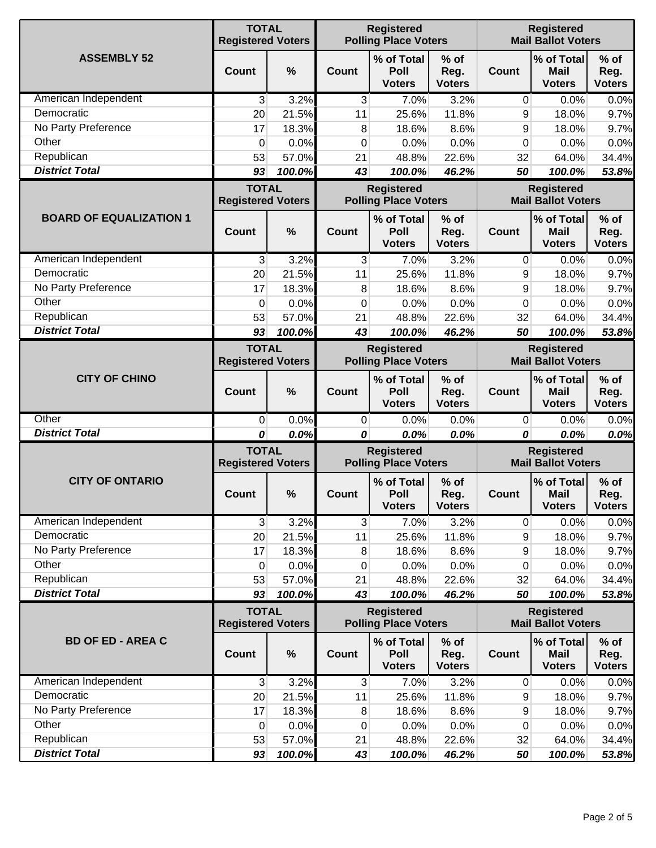|                                | <b>TOTAL</b><br><b>Registered Voters</b> |        |                                                  | <b>Registered</b><br><b>Polling Place Voters</b> |                                 | <b>Registered</b><br><b>Mail Ballot Voters</b> |                                                |                                 |
|--------------------------------|------------------------------------------|--------|--------------------------------------------------|--------------------------------------------------|---------------------------------|------------------------------------------------|------------------------------------------------|---------------------------------|
| <b>ASSEMBLY 52</b>             | Count                                    | %      | <b>Count</b>                                     | % of Total<br>Poll<br><b>Voters</b>              | $%$ of<br>Reg.<br><b>Voters</b> | <b>Count</b>                                   | % of Total<br><b>Mail</b><br><b>Voters</b>     | $%$ of<br>Reg.<br><b>Voters</b> |
| American Independent           | 3                                        | 3.2%   | 3                                                | 7.0%                                             | 3.2%                            | 0                                              | 0.0%                                           | 0.0%                            |
| Democratic                     | 20                                       | 21.5%  | 11                                               | 25.6%                                            | 11.8%                           | 9                                              | 18.0%                                          | 9.7%                            |
| No Party Preference            | 17                                       | 18.3%  | 8                                                | 18.6%                                            | 8.6%                            | 9                                              | 18.0%                                          | 9.7%                            |
| Other                          | 0                                        | 0.0%   | 0                                                | 0.0%                                             | 0.0%                            | 0                                              | 0.0%                                           | 0.0%                            |
| Republican                     | 53                                       | 57.0%  | 21                                               | 48.8%                                            | 22.6%                           | 32                                             | 64.0%                                          | 34.4%                           |
| <b>District Total</b>          | 93                                       | 100.0% | 43                                               | 100.0%                                           | 46.2%                           | 50                                             | 100.0%                                         | 53.8%                           |
|                                | <b>TOTAL</b><br><b>Registered Voters</b> |        |                                                  | <b>Registered</b><br><b>Polling Place Voters</b> |                                 |                                                | <b>Registered</b><br><b>Mail Ballot Voters</b> |                                 |
| <b>BOARD OF EQUALIZATION 1</b> | Count                                    | %      | <b>Count</b>                                     | % of Total<br>Poll<br><b>Voters</b>              | $%$ of<br>Reg.<br><b>Voters</b> | <b>Count</b>                                   | % of Total<br><b>Mail</b><br><b>Voters</b>     | $%$ of<br>Reg.<br><b>Voters</b> |
| American Independent           | 3                                        | 3.2%   | 3                                                | 7.0%                                             | 3.2%                            | $\mathbf{0}$                                   | 0.0%                                           | 0.0%                            |
| Democratic                     | 20                                       | 21.5%  | 11                                               | 25.6%                                            | 11.8%                           | 9                                              | 18.0%                                          | 9.7%                            |
| No Party Preference            | 17                                       | 18.3%  | 8                                                | 18.6%                                            | 8.6%                            | 9                                              | 18.0%                                          | 9.7%                            |
| Other                          | 0                                        | 0.0%   | 0                                                | 0.0%                                             | 0.0%                            | $\mathbf 0$                                    | 0.0%                                           | 0.0%                            |
| Republican                     | 53                                       | 57.0%  | 21                                               | 48.8%                                            | 22.6%                           | 32                                             | 64.0%                                          | 34.4%                           |
| <b>District Total</b>          | 93                                       | 100.0% | 43                                               | 100.0%                                           | 46.2%                           | 50                                             | 100.0%                                         | 53.8%                           |
|                                | <b>TOTAL</b><br><b>Registered Voters</b> |        | <b>Registered</b><br><b>Polling Place Voters</b> |                                                  |                                 | <b>Registered</b><br><b>Mail Ballot Voters</b> |                                                |                                 |
| <b>CITY OF CHINO</b>           | <b>Count</b>                             | %      | <b>Count</b>                                     | % of Total<br>Poll<br><b>Voters</b>              | % of<br>Reg.<br><b>Voters</b>   | <b>Count</b>                                   | % of Total<br><b>Mail</b><br><b>Voters</b>     | $%$ of<br>Reg.<br><b>Voters</b> |
| Other                          | 0                                        | 0.0%   | $\overline{0}$                                   | 0.0%                                             | 0.0%                            | $\mathbf 0$                                    | 0.0%                                           | 0.0%                            |
| <b>District Total</b>          | 0                                        | 0.0%   | 0                                                | 0.0%                                             | 0.0%                            | 0                                              | 0.0%                                           | 0.0%                            |
|                                | <b>TOTAL</b><br><b>Registered Voters</b> |        | <b>Registered</b><br><b>Polling Place Voters</b> |                                                  |                                 |                                                | <b>Registered</b><br><b>Mail Ballot Voters</b> |                                 |
| <b>CITY OF ONTARIO</b>         | Count                                    | $\%$   | <b>Count</b>                                     | % of Total<br><b>Poll</b><br><b>Voters</b>       | $%$ of<br>Reg.<br><b>Voters</b> | <b>Count</b>                                   | % of Total<br><b>Mail</b><br><b>Voters</b>     | $%$ of<br>Reg.<br><b>Voters</b> |
| American Independent           | 3                                        | 3.2%   | 3                                                | 7.0%                                             | 3.2%                            | 0                                              | 0.0%                                           | 0.0%                            |
| Democratic                     | 20                                       | 21.5%  | 11                                               | 25.6%                                            | 11.8%                           | 9                                              | 18.0%                                          | 9.7%                            |
| No Party Preference            | 17                                       | 18.3%  | 8                                                | 18.6%                                            | 8.6%                            | 9                                              | 18.0%                                          | 9.7%                            |
| Other                          | 0                                        | 0.0%   | $\mathbf 0$                                      | 0.0%                                             | 0.0%                            | 0                                              | 0.0%                                           | 0.0%                            |
| Republican                     | 53                                       | 57.0%  | 21                                               | 48.8%                                            | 22.6%                           | 32                                             | 64.0%                                          | 34.4%                           |
| <b>District Total</b>          | 93                                       | 100.0% | 43                                               | 100.0%                                           | 46.2%                           | 50                                             | 100.0%                                         | 53.8%                           |
|                                | <b>TOTAL</b><br><b>Registered Voters</b> |        | <b>Registered</b><br><b>Polling Place Voters</b> |                                                  |                                 | <b>Registered</b><br><b>Mail Ballot Voters</b> |                                                |                                 |
| <b>BD OF ED - AREA C</b>       | <b>Count</b>                             | $\%$   | <b>Count</b>                                     | % of Total<br>Poll<br><b>Voters</b>              | $%$ of<br>Reg.<br><b>Voters</b> | <b>Count</b>                                   | % of Total<br><b>Mail</b><br><b>Voters</b>     | $%$ of<br>Reg.<br><b>Voters</b> |
| American Independent           | 3                                        | 3.2%   | 3                                                | 7.0%                                             | 3.2%                            | $\overline{0}$                                 | 0.0%                                           | 0.0%                            |
| Democratic                     | 20                                       | 21.5%  | 11                                               | 25.6%                                            | 11.8%                           | 9                                              | 18.0%                                          | 9.7%                            |
| No Party Preference            | 17                                       | 18.3%  | 8                                                | 18.6%                                            | 8.6%                            | 9                                              | 18.0%                                          | 9.7%                            |
| Other                          | 0                                        | 0.0%   | 0                                                | 0.0%                                             | 0.0%                            | 0                                              | 0.0%                                           | 0.0%                            |
| Republican                     | 53                                       | 57.0%  | 21                                               | 48.8%                                            | 22.6%                           | 32                                             | 64.0%                                          | 34.4%                           |
| <b>District Total</b>          | 93                                       | 100.0% | 43                                               | 100.0%                                           | 46.2%                           | 50                                             | 100.0%                                         | 53.8%                           |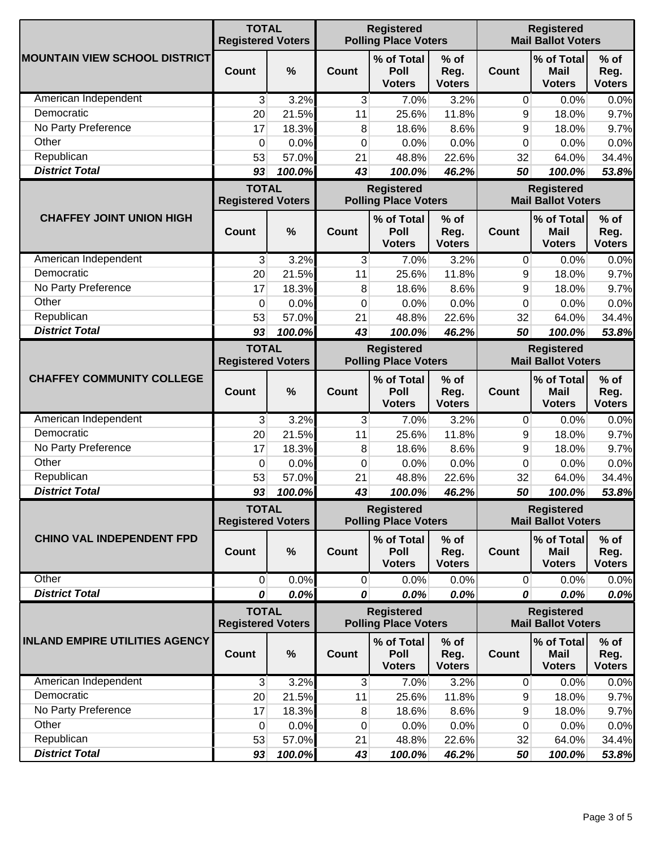|                                       | <b>TOTAL</b><br><b>Registered Voters</b> |               |                                                  | <b>Registered</b><br><b>Polling Place Voters</b> |                                 | <b>Registered</b><br><b>Mail Ballot Voters</b> |                                            |                                 |
|---------------------------------------|------------------------------------------|---------------|--------------------------------------------------|--------------------------------------------------|---------------------------------|------------------------------------------------|--------------------------------------------|---------------------------------|
| <b>MOUNTAIN VIEW SCHOOL DISTRICT</b>  | Count                                    | $\frac{0}{0}$ | <b>Count</b>                                     | % of Total<br>Poll<br><b>Voters</b>              | $%$ of<br>Reg.<br><b>Voters</b> | <b>Count</b>                                   | % of Total<br><b>Mail</b><br><b>Voters</b> | $%$ of<br>Reg.<br><b>Voters</b> |
| American Independent                  | 3                                        | 3.2%          | 3                                                | 7.0%                                             | 3.2%                            | $\mathbf 0$                                    | 0.0%                                       | 0.0%                            |
| Democratic                            | 20                                       | 21.5%         | 11                                               | 25.6%                                            | 11.8%                           | 9                                              | 18.0%                                      | 9.7%                            |
| No Party Preference                   | 17                                       | 18.3%         | 8                                                | 18.6%                                            | 8.6%                            | 9                                              | 18.0%                                      | 9.7%                            |
| Other                                 | 0                                        | 0.0%          | 0                                                | 0.0%                                             | 0.0%                            | 0                                              | 0.0%                                       | 0.0%                            |
| Republican                            | 53                                       | 57.0%         | 21                                               | 48.8%                                            | 22.6%                           | 32                                             | 64.0%                                      | 34.4%                           |
| <b>District Total</b>                 | 93                                       | 100.0%        | 43                                               | 100.0%                                           | 46.2%                           | 50                                             | 100.0%                                     | 53.8%                           |
|                                       | <b>TOTAL</b><br><b>Registered Voters</b> |               |                                                  | <b>Registered</b><br><b>Polling Place Voters</b> |                                 | <b>Registered</b><br><b>Mail Ballot Voters</b> |                                            |                                 |
| <b>CHAFFEY JOINT UNION HIGH</b>       | Count                                    | %             | Count                                            | % of Total<br>Poll<br><b>Voters</b>              | $%$ of<br>Reg.<br><b>Voters</b> | <b>Count</b>                                   | % of Total<br><b>Mail</b><br><b>Voters</b> | $%$ of<br>Reg.<br><b>Voters</b> |
| American Independent                  | 3                                        | 3.2%          | 3                                                | 7.0%                                             | 3.2%                            | $\mathbf{0}$                                   | 0.0%                                       | 0.0%                            |
| Democratic                            | 20                                       | 21.5%         | 11                                               | 25.6%                                            | 11.8%                           | 9                                              | 18.0%                                      | 9.7%                            |
| No Party Preference                   | 17                                       | 18.3%         | 8                                                | 18.6%                                            | 8.6%                            | 9                                              | 18.0%                                      | 9.7%                            |
| Other                                 | 0                                        | 0.0%          | 0                                                | 0.0%                                             | 0.0%                            | 0                                              | 0.0%                                       | 0.0%                            |
| Republican                            | 53                                       | 57.0%         | 21                                               | 48.8%                                            | 22.6%                           | 32                                             | 64.0%                                      | 34.4%                           |
| <b>District Total</b>                 | 93                                       | 100.0%        | 43                                               | 100.0%                                           | 46.2%                           | 50                                             | 100.0%                                     | 53.8%                           |
|                                       | <b>TOTAL</b><br><b>Registered Voters</b> |               | <b>Registered</b><br><b>Polling Place Voters</b> |                                                  |                                 | <b>Registered</b><br><b>Mail Ballot Voters</b> |                                            |                                 |
| <b>CHAFFEY COMMUNITY COLLEGE</b>      | <b>Count</b>                             | $\frac{0}{0}$ | <b>Count</b>                                     | % of Total<br>Poll<br><b>Voters</b>              | $%$ of<br>Reg.<br><b>Voters</b> | <b>Count</b>                                   | % of Total<br><b>Mail</b><br><b>Voters</b> | $%$ of<br>Reg.<br><b>Voters</b> |
| American Independent                  | 3                                        | 3.2%          | 3                                                | 7.0%                                             | 3.2%                            | 0                                              | 0.0%                                       | 0.0%                            |
| Democratic                            | 20                                       | 21.5%         | 11                                               | 25.6%                                            | 11.8%                           | 9                                              | 18.0%                                      | 9.7%                            |
| No Party Preference                   | 17                                       | 18.3%         | 8                                                | 18.6%                                            | 8.6%                            | 9                                              | 18.0%                                      | 9.7%                            |
| Other                                 | 0                                        | 0.0%          | 0                                                | 0.0%                                             | 0.0%                            | 0                                              | 0.0%                                       | 0.0%                            |
| Republican                            | 53                                       | 57.0%         | 21                                               | 48.8%                                            | 22.6%                           | 32                                             | 64.0%                                      | 34.4%                           |
| <b>District Total</b>                 | 93                                       | 100.0%        | 43                                               | 100.0%                                           | 46.2%                           | 50                                             | 100.0%                                     | 53.8%                           |
|                                       | <b>TOTAL</b>                             |               |                                                  | <b>Registered</b>                                |                                 |                                                | <b>Registered</b>                          |                                 |
|                                       | <b>Registered Voters</b>                 |               | <b>Polling Place Voters</b>                      |                                                  |                                 | <b>Mail Ballot Voters</b>                      |                                            |                                 |
| <b>CHINO VAL INDEPENDENT FPD</b>      | Count                                    | $\frac{0}{0}$ | Count                                            | % of Total<br>Poll<br><b>Voters</b>              | $%$ of<br>Reg.<br><b>Voters</b> | <b>Count</b>                                   | % of Total<br><b>Mail</b><br><b>Voters</b> | $%$ of<br>Reg.<br><b>Voters</b> |
| Other                                 | $\mathbf 0$                              | 0.0%          | 0                                                | 0.0%                                             | 0.0%                            | $\overline{0}$                                 | 0.0%                                       | 0.0%                            |
| <b>District Total</b>                 | 0                                        | 0.0%          | 0                                                | 0.0%                                             | 0.0%                            | 0                                              | 0.0%                                       | 0.0%                            |
|                                       | <b>TOTAL</b><br><b>Registered Voters</b> |               | <b>Registered</b><br><b>Polling Place Voters</b> |                                                  |                                 | <b>Registered</b><br><b>Mail Ballot Voters</b> |                                            |                                 |
| <b>INLAND EMPIRE UTILITIES AGENCY</b> | <b>Count</b>                             | %             | <b>Count</b>                                     | % of Total<br>Poll<br><b>Voters</b>              | $%$ of<br>Reg.<br><b>Voters</b> | <b>Count</b>                                   | % of Total<br><b>Mail</b><br><b>Voters</b> | $%$ of<br>Reg.<br><b>Voters</b> |
| American Independent                  | 3                                        | 3.2%          | 3                                                | 7.0%                                             | 3.2%                            | 0                                              | 0.0%                                       | 0.0%                            |
| Democratic                            | 20                                       | 21.5%         | 11                                               | 25.6%                                            | 11.8%                           | 9                                              | 18.0%                                      | 9.7%                            |
| No Party Preference                   | 17                                       | 18.3%         | 8                                                | 18.6%                                            | 8.6%                            | 9                                              | 18.0%                                      | 9.7%                            |
| Other                                 | 0                                        | 0.0%          | 0                                                | 0.0%                                             | 0.0%                            | 0                                              | 0.0%                                       | 0.0%                            |
| Republican                            | 53                                       | 57.0%         | 21                                               | 48.8%                                            | 22.6%                           | 32                                             | 64.0%                                      | 34.4%                           |
| <b>District Total</b>                 | 93                                       | 100.0%        | 43                                               | 100.0%                                           | 46.2%                           | 50                                             | 100.0%                                     | 53.8%                           |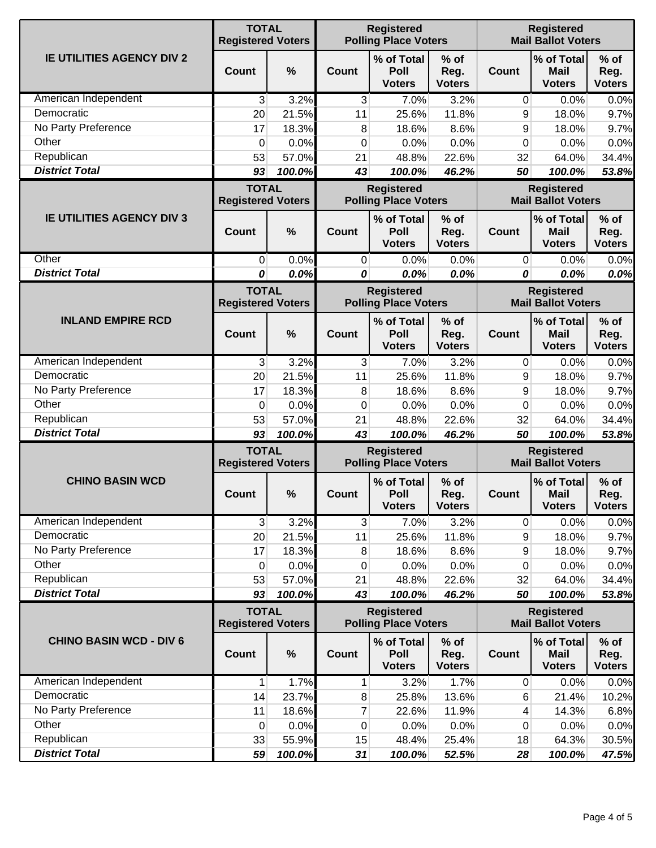|                                  | <b>TOTAL</b><br><b>Registered Voters</b> |               |                                                  | <b>Registered</b><br><b>Polling Place Voters</b> |                                 | <b>Registered</b><br><b>Mail Ballot Voters</b> |                                                |                                 |
|----------------------------------|------------------------------------------|---------------|--------------------------------------------------|--------------------------------------------------|---------------------------------|------------------------------------------------|------------------------------------------------|---------------------------------|
| <b>IE UTILITIES AGENCY DIV 2</b> | Count                                    | $\frac{0}{0}$ | <b>Count</b>                                     | % of Total<br>Poll<br><b>Voters</b>              | $%$ of<br>Reg.<br><b>Voters</b> | <b>Count</b>                                   | % of Total<br><b>Mail</b><br><b>Voters</b>     | $%$ of<br>Reg.<br><b>Voters</b> |
| American Independent             | 3                                        | 3.2%          | $\mathbf{3}$                                     | 7.0%                                             | 3.2%                            | $\mathbf 0$                                    | 0.0%                                           | 0.0%                            |
| Democratic                       | 20                                       | 21.5%         | 11                                               | 25.6%                                            | 11.8%                           | 9                                              | 18.0%                                          | 9.7%                            |
| No Party Preference              | 17                                       | 18.3%         | 8                                                | 18.6%                                            | 8.6%                            | 9                                              | 18.0%                                          | 9.7%                            |
| Other                            | 0                                        | 0.0%          | 0                                                | 0.0%                                             | 0.0%                            | 0                                              | 0.0%                                           | 0.0%                            |
| Republican                       | 53                                       | 57.0%         | 21                                               | 48.8%                                            | 22.6%                           | 32                                             | 64.0%                                          | 34.4%                           |
| <b>District Total</b>            | 93                                       | 100.0%        | 43                                               | 100.0%                                           | 46.2%                           | 50                                             | 100.0%                                         | 53.8%                           |
|                                  | <b>TOTAL</b><br><b>Registered Voters</b> |               |                                                  | <b>Registered</b><br><b>Polling Place Voters</b> |                                 | <b>Registered</b><br><b>Mail Ballot Voters</b> |                                                |                                 |
| <b>IE UTILITIES AGENCY DIV 3</b> | Count                                    | $\frac{0}{0}$ | <b>Count</b>                                     | % of Total<br>Poll<br><b>Voters</b>              | $%$ of<br>Reg.<br><b>Voters</b> | <b>Count</b>                                   | % of Total<br><b>Mail</b><br><b>Voters</b>     | $%$ of<br>Reg.<br><b>Voters</b> |
| Other                            | 0                                        | 0.0%          | 0                                                | 0.0%                                             | 0.0%                            | 0                                              | 0.0%                                           | 0.0%                            |
| <b>District Total</b>            | 0                                        | 0.0%          | 0                                                | 0.0%                                             | 0.0%                            | 0                                              | 0.0%                                           | 0.0%                            |
|                                  | <b>TOTAL</b><br><b>Registered Voters</b> |               |                                                  | <b>Registered</b><br><b>Polling Place Voters</b> |                                 |                                                | <b>Registered</b><br><b>Mail Ballot Voters</b> |                                 |
| <b>INLAND EMPIRE RCD</b>         | Count                                    | $\frac{0}{0}$ | Count                                            | % of Total<br>Poll<br><b>Voters</b>              | $%$ of<br>Reg.<br><b>Voters</b> | <b>Count</b>                                   | % of Total<br><b>Mail</b><br><b>Voters</b>     | $%$ of<br>Reg.<br><b>Voters</b> |
| American Independent             | 3                                        | 3.2%          | 3                                                | 7.0%                                             | 3.2%                            | 0                                              | 0.0%                                           | 0.0%                            |
| Democratic                       | 20                                       | 21.5%         | 11                                               | 25.6%                                            | 11.8%                           | 9                                              | 18.0%                                          | 9.7%                            |
| No Party Preference              | 17                                       | 18.3%         | 8                                                | 18.6%                                            | 8.6%                            | 9                                              | 18.0%                                          | 9.7%                            |
| Other                            | 0                                        | 0.0%          | 0                                                | 0.0%                                             | 0.0%                            | 0                                              | 0.0%                                           | 0.0%                            |
| Republican                       | 53                                       | 57.0%         | 21                                               | 48.8%                                            | 22.6%                           | 32                                             | 64.0%                                          | 34.4%                           |
| <b>District Total</b>            | 93                                       | 100.0%        | 43                                               | 100.0%                                           | 46.2%                           | 50                                             | 100.0%                                         | 53.8%                           |
|                                  | <b>TOTAL</b><br><b>Registered Voters</b> |               | <b>Registered</b><br><b>Polling Place Voters</b> |                                                  |                                 | <b>Registered</b><br><b>Mail Ballot Voters</b> |                                                |                                 |
| <b>CHINO BASIN WCD</b>           | Count                                    | $\frac{0}{0}$ | Count                                            | % of Total<br>Poll<br><b>Voters</b>              | $%$ of<br>Reg.<br><b>Voters</b> | <b>Count</b>                                   | % of Total<br><b>Mail</b><br><b>Voters</b>     | $%$ of<br>Reg.<br><b>Voters</b> |
| American Independent             | 3                                        | 3.2%          | 3                                                | 7.0%                                             | 3.2%                            | 0                                              | 0.0%                                           | 0.0%                            |
| Democratic                       | 20                                       | 21.5%         | 11                                               | 25.6%                                            | 11.8%                           | 9                                              | 18.0%                                          | 9.7%                            |
| No Party Preference              | 17                                       | 18.3%         | 8                                                | 18.6%                                            | 8.6%                            | 9                                              | 18.0%                                          | 9.7%                            |
| Other                            | 0                                        | 0.0%          | 0                                                | 0.0%                                             | 0.0%                            | 0                                              | 0.0%                                           | 0.0%                            |
| Republican                       | 53                                       | 57.0%         | 21                                               | 48.8%                                            | 22.6%                           | 32                                             | 64.0%                                          | 34.4%                           |
| <b>District Total</b>            | 93                                       | 100.0%        | 43                                               | 100.0%                                           | 46.2%                           | 50                                             | 100.0%                                         | 53.8%                           |
|                                  | <b>TOTAL</b><br><b>Registered Voters</b> |               | <b>Registered</b><br><b>Polling Place Voters</b> |                                                  |                                 | <b>Registered</b><br><b>Mail Ballot Voters</b> |                                                |                                 |
| <b>CHINO BASIN WCD - DIV 6</b>   | <b>Count</b>                             | $\%$          | Count                                            | % of Total<br>Poll<br><b>Voters</b>              | $%$ of<br>Reg.<br><b>Voters</b> | <b>Count</b>                                   | % of Total<br><b>Mail</b><br><b>Voters</b>     | $%$ of<br>Reg.<br><b>Voters</b> |
| American Independent             | 1                                        | 1.7%          | 1                                                | 3.2%                                             | 1.7%                            | 0                                              | 0.0%                                           | 0.0%                            |
| Democratic                       | 14                                       | 23.7%         | 8                                                | 25.8%                                            | 13.6%                           | 6                                              | 21.4%                                          | 10.2%                           |
| No Party Preference              | 11                                       | 18.6%         | 7                                                | 22.6%                                            | 11.9%                           | 4                                              | 14.3%                                          | 6.8%                            |
| Other                            | 0                                        | 0.0%          | 0                                                | 0.0%                                             | 0.0%                            | 0                                              | 0.0%                                           | 0.0%                            |
| Republican                       | 33                                       | 55.9%         | 15                                               | 48.4%                                            | 25.4%                           | 18                                             | 64.3%                                          | 30.5%                           |
| <b>District Total</b>            | 59                                       | 100.0%        | 31                                               | 100.0%                                           | 52.5%                           | 28                                             | 100.0%                                         | 47.5%                           |